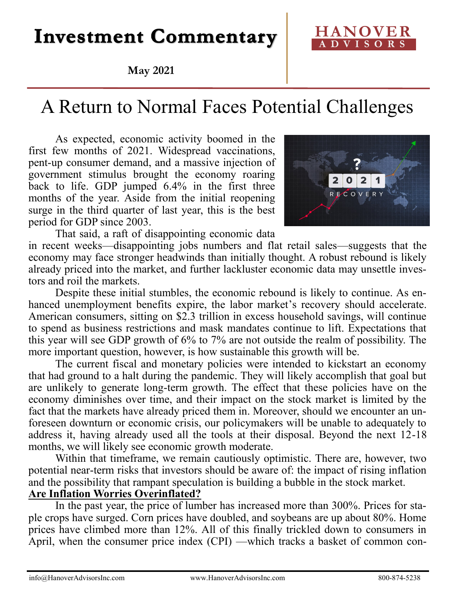# **Investment Commentary**

### **May 2021**

## A Return to Normal Faces Potential Challenges

As expected, economic activity boomed in the first few months of 2021. Widespread vaccinations, pent-up consumer demand, and a massive injection of government stimulus brought the economy roaring back to life. GDP jumped 6.4% in the first three months of the year. Aside from the initial reopening surge in the third quarter of last year, this is the best period for GDP since 2003.



That said, a raft of disappointing economic data in recent weeks—disappointing jobs numbers and flat retail sales—suggests that the economy may face stronger headwinds than initially thought. A robust rebound is likely already priced into the market, and further lackluster economic data may unsettle investors and roil the markets.

Despite these initial stumbles, the economic rebound is likely to continue. As enhanced unemployment benefits expire, the labor market's recovery should accelerate. American consumers, sitting on \$2.3 trillion in excess household savings, will continue to spend as business restrictions and mask mandates continue to lift. Expectations that this year will see GDP growth of 6% to 7% are not outside the realm of possibility. The more important question, however, is how sustainable this growth will be.

The current fiscal and monetary policies were intended to kickstart an economy that had ground to a halt during the pandemic. They will likely accomplish that goal but are unlikely to generate long-term growth. The effect that these policies have on the economy diminishes over time, and their impact on the stock market is limited by the fact that the markets have already priced them in. Moreover, should we encounter an unforeseen downturn or economic crisis, our policymakers will be unable to adequately to address it, having already used all the tools at their disposal. Beyond the next 12-18 months, we will likely see economic growth moderate.

Within that timeframe, we remain cautiously optimistic. There are, however, two potential near-term risks that investors should be aware of: the impact of rising inflation and the possibility that rampant speculation is building a bubble in the stock market. **Are Inflation Worries Overinflated?** 

In the past year, the price of lumber has increased more than 300%. Prices for staple crops have surged. Corn prices have doubled, and soybeans are up about 80%. Home prices have climbed more than 12%. All of this finally trickled down to consumers in April, when the consumer price index (CPI) —which tracks a basket of common con-

## **HANOVER A D V I S O R S**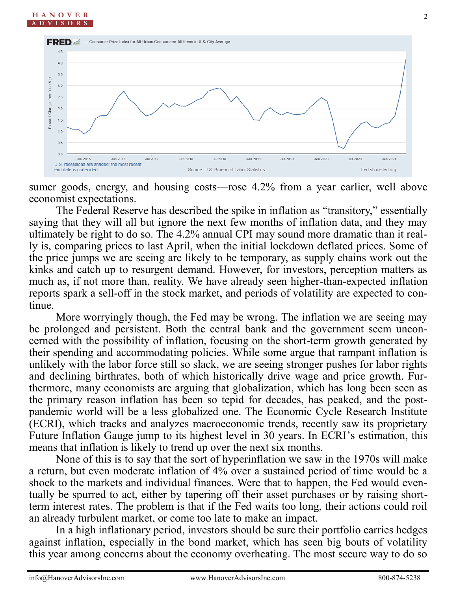

sumer goods, energy, and housing costs—rose 4.2% from a year earlier, well above economist expectations.

The Federal Reserve has described the spike in inflation as "transitory," essentially saying that they will all but ignore the next few months of inflation data, and they may ultimately be right to do so. The 4.2% annual CPI may sound more dramatic than it really is, comparing prices to last April, when the initial lockdown deflated prices. Some of the price jumps we are seeing are likely to be temporary, as supply chains work out the kinks and catch up to resurgent demand. However, for investors, perception matters as much as, if not more than, reality. We have already seen higher-than-expected inflation reports spark a sell-off in the stock market, and periods of volatility are expected to continue.

More worryingly though, the Fed may be wrong. The inflation we are seeing may be prolonged and persistent. Both the central bank and the government seem unconcerned with the possibility of inflation, focusing on the short-term growth generated by their spending and accommodating policies. While some argue that rampant inflation is unlikely with the labor force still so slack, we are seeing stronger pushes for labor rights and declining birthrates, both of which historically drive wage and price growth. Furthermore, many economists are arguing that globalization, which has long been seen as the primary reason inflation has been so tepid for decades, has peaked, and the postpandemic world will be a less globalized one. The Economic Cycle Research Institute (ECRI), which tracks and analyzes macroeconomic trends, recently saw its proprietary Future Inflation Gauge jump to its highest level in 30 years. In ECRI's estimation, this means that inflation is likely to trend up over the next six months.

None of this is to say that the sort of hyperinflation we saw in the 1970s will make a return, but even moderate inflation of 4% over a sustained period of time would be a shock to the markets and individual finances. Were that to happen, the Fed would eventually be spurred to act, either by tapering off their asset purchases or by raising shortterm interest rates. The problem is that if the Fed waits too long, their actions could roil an already turbulent market, or come too late to make an impact.

In a high inflationary period, investors should be sure their portfolio carries hedges against inflation, especially in the bond market, which has seen big bouts of volatility this year among concerns about the economy overheating. The most secure way to do so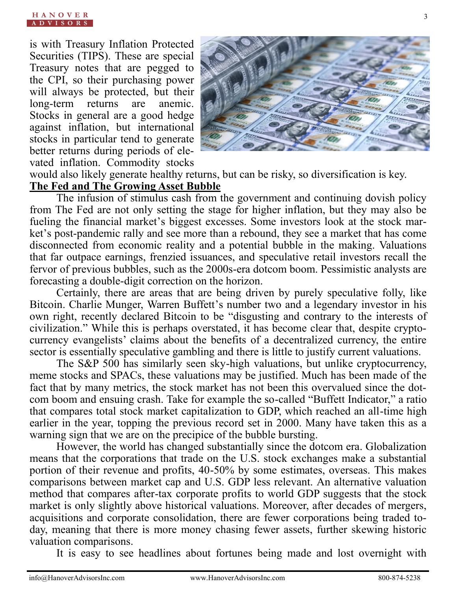is with Treasury Inflation Protected Securities (TIPS). These are special Treasury notes that are pegged to the CPI, so their purchasing power will always be protected, but their long-term returns are anemic. Stocks in general are a good hedge against inflation, but international stocks in particular tend to generate better returns during periods of elevated inflation. Commodity stocks



3

would also likely generate healthy returns, but can be risky, so diversification is key. **The Fed and The Growing Asset Bubble**

The infusion of stimulus cash from the government and continuing dovish policy from The Fed are not only setting the stage for higher inflation, but they may also be fueling the financial market's biggest excesses. Some investors look at the stock market's post-pandemic rally and see more than a rebound, they see a market that has come disconnected from economic reality and a potential bubble in the making. Valuations that far outpace earnings, frenzied issuances, and speculative retail investors recall the fervor of previous bubbles, such as the 2000s-era dotcom boom. Pessimistic analysts are forecasting a double-digit correction on the horizon.

Certainly, there are areas that are being driven by purely speculative folly, like Bitcoin. Charlie Munger, Warren Buffett's number two and a legendary investor in his own right, recently declared Bitcoin to be "disgusting and contrary to the interests of civilization." While this is perhaps overstated, it has become clear that, despite cryptocurrency evangelists' claims about the benefits of a decentralized currency, the entire sector is essentially speculative gambling and there is little to justify current valuations.

The S&P 500 has similarly seen sky-high valuations, but unlike cryptocurrency, meme stocks and SPACs, these valuations may be justified. Much has been made of the fact that by many metrics, the stock market has not been this overvalued since the dotcom boom and ensuing crash. Take for example the so-called "Buffett Indicator," a ratio that compares total stock market capitalization to GDP, which reached an all-time high earlier in the year, topping the previous record set in 2000. Many have taken this as a warning sign that we are on the precipice of the bubble bursting.

However, the world has changed substantially since the dotcom era. Globalization means that the corporations that trade on the U.S. stock exchanges make a substantial portion of their revenue and profits, 40-50% by some estimates, overseas. This makes comparisons between market cap and U.S. GDP less relevant. An alternative valuation method that compares after-tax corporate profits to world GDP suggests that the stock market is only slightly above historical valuations. Moreover, after decades of mergers, acquisitions and corporate consolidation, there are fewer corporations being traded today, meaning that there is more money chasing fewer assets, further skewing historic valuation comparisons.

It is easy to see headlines about fortunes being made and lost overnight with